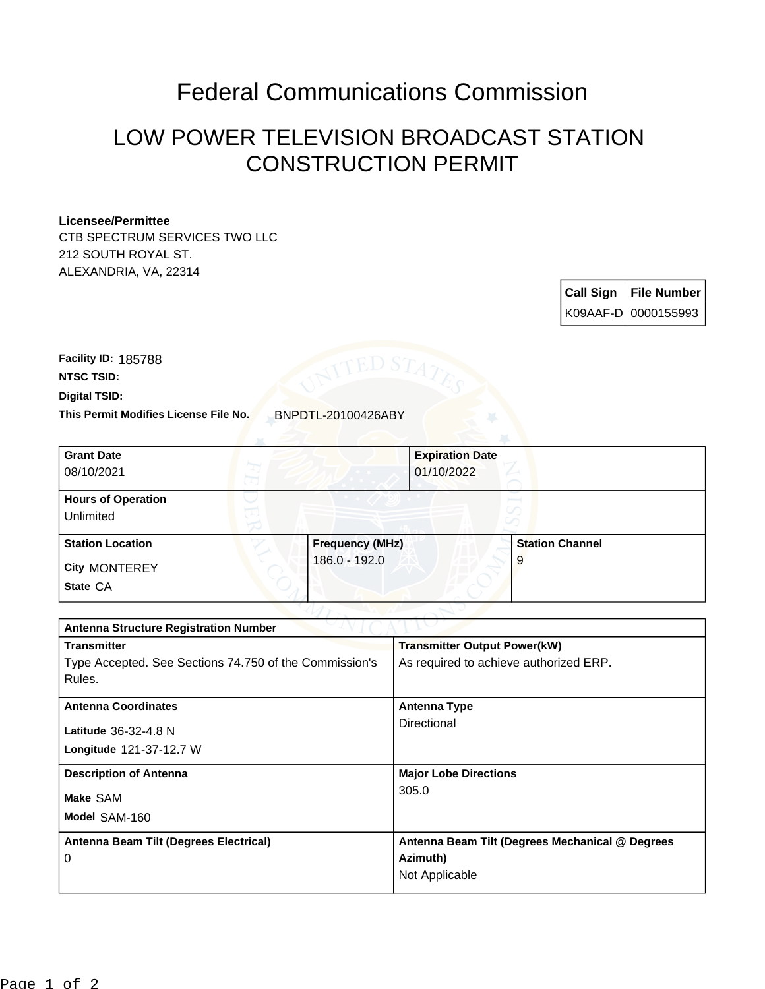## Federal Communications Commission

## LOW POWER TELEVISION BROADCAST STATION CONSTRUCTION PERMIT

## **Licensee/Permittee**

CTB SPECTRUM SERVICES TWO LLC 212 SOUTH ROYAL ST. ALEXANDRIA, VA, 22314

> **Call Sign File Number** K09AAF-D 0000155993

**This Permit Modifies License File No.** BNPDTL-20100426ABY **Digital TSID: NTSC TSID: Facility ID:** 185788

| <b>Grant Date</b><br>08/10/2021        |                        | <b>Expiration Date</b><br>01/10/2022 |
|----------------------------------------|------------------------|--------------------------------------|
| <b>Hours of Operation</b><br>Unlimited |                        | v                                    |
| <b>Station Location</b>                | <b>Frequency (MHz)</b> | <b>Station Channel</b>               |
| <b>City MONTEREY</b><br>State CA       | 186.0 - 192.0          | 9                                    |

We have No

| <b>Antenna Structure Registration Number</b>           |                                                 |  |  |
|--------------------------------------------------------|-------------------------------------------------|--|--|
| <b>Transmitter</b>                                     | <b>Transmitter Output Power(kW)</b>             |  |  |
| Type Accepted. See Sections 74.750 of the Commission's | As required to achieve authorized ERP.          |  |  |
| Rules.                                                 |                                                 |  |  |
| <b>Antenna Coordinates</b>                             | <b>Antenna Type</b>                             |  |  |
|                                                        | Directional                                     |  |  |
| Latitude 36-32-4.8 N                                   |                                                 |  |  |
| Longitude 121-37-12.7 W                                |                                                 |  |  |
| <b>Description of Antenna</b>                          | <b>Major Lobe Directions</b>                    |  |  |
| Make SAM                                               | 305.0                                           |  |  |
| Model SAM-160                                          |                                                 |  |  |
|                                                        |                                                 |  |  |
| Antenna Beam Tilt (Degrees Electrical)                 | Antenna Beam Tilt (Degrees Mechanical @ Degrees |  |  |
| 0                                                      | Azimuth)                                        |  |  |
|                                                        | Not Applicable                                  |  |  |